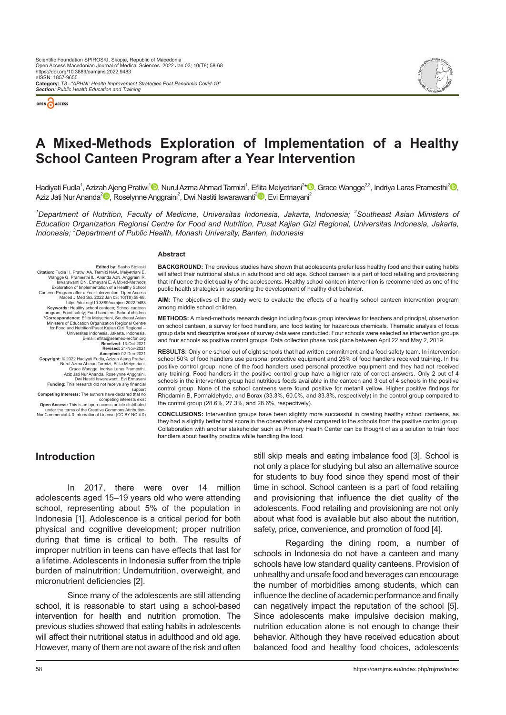



# **A Mixed-Methods Exploration of Implementation of a Healthy School Canteen Program after a Year Intervention**

Hadiyati Fudla<sup>1</sup>[,](https://orcid.org/0000-0003-0811-9981) Azizah Ajeng Pratiwi<sup>1</sup>❶, Nurul Azma Ahmad Tarmizi<sup>1</sup>, Eflita Meiyetriani<sup>[2](https://orcid.org/0000-0001-6671-3335)★</sup>❶, Grace Wangge<sup>2,3</sup>, Indriya Laras Pramesthi<sup>2</sup>●, Aziz Jati Nur Ananda<sup>2</sup>®[,](https://orcid.org/0000-0001-6858-8064) Roselynne Anggraini<sup>2</sup>, Dwi Nastiti Iswarawanti<sup>2</sup>®, Evi Ermayani<sup>2</sup>

*1 Department of Nutrition, Faculty of Medicine, Universitas Indonesia, Jakarta, Indonesia; <sup>2</sup> Southeast Asian Ministers of Education Organization Regional Centre for Food and Nutrition, Pusat Kajian Gizi Regional, Universitas Indonesia, Jakarta, Indonesia; <sup>3</sup> Department of Public Health, Monash University, Banten, Indonesia*

#### **Abstract**

**Edited by:** Sasho Stoleski **Citation:** Fudla H, Pratiwi AA, Tarmizi NAA, Meiyetriani E, Wangge G, Pramesthi IL, Ananda AJN, Anggraini R, Iswarawanti DN, Ermayani E. A Mixed-Methods<br>Exploration of Implementation of a Healthy School<br>Canteen Program after a Year Intervention. Open Access<br>Maced J Med Sci. 2022 Jan 03; 10(T8):58-68.<br>https://doi.org/10.3889/oamjm program; Food safety; Food handlers; School children<br>\*Correspondence: Eflita Meivetriani, Southeast Asian Correspondence: Eflita Meiyetriani, Southeast Asian<br>Ministers of Education Organization Regional Centre<br>for Food and Nutrition/Pusat Kajian Gizi Regional<br>Universitas Indonesia, Jakarta, Indonesia.<br>E-mail: efflia@seameo-rec **Revised:** 21-Nov-2021<br>**Accepted:** 02-Dec-2021 Accepted: 02-0222 Hadiyati Fuda, Azizzah Ajeng Pratiwi,<br>Murul Azma Ahmad Tarmizi, Efilita Mejerghatiwi,<br>Nurul Azma Ahmad Tarmizi, Efilita Meiyetriani,<br>Grace Wangge, Indriya Laras Pranesthi,<br>Naziz Jati Nur Ananda, Roselynne support **Competing Interests:** The authors have declared that no

competing interests exist<br> **Open Access:** This is an open-access article distribution-<br>
under the terms of the Creative Commons Attribution-<br>
NonCommercial 4.0 International License (CC BY-NC 4.0)

**BACKGROUND:** The previous studies have shown that adolescents prefer less healthy food and their eating habits will affect their nutritional status in adulthood and old age. School canteen is a part of food retailing and provisioning that influence the diet quality of the adolescents. Healthy school canteen intervention is recommended as one of the public health strategies in supporting the development of healthy diet behavior.

**AIM:** The objectives of the study were to evaluate the effects of a healthy school canteen intervention program among middle school children.

**METHODS:** A mixed-methods research design including focus group interviews for teachers and principal, observation on school canteen, a survey for food handlers, and food testing for hazardous chemicals. Thematic analysis of focus group data and descriptive analyses of survey data were conducted. Four schools were selected as intervention groups and four schools as positive control groups. Data collection phase took place between April 22 and May 2, 2019.

**RESULTS:** Only one school out of eight schools that had written commitment and a food safety team. In intervention school 50% of food handlers use personal protective equipment and 25% of food handlers received training. In the positive control group, none of the food handlers used personal protective equipment and they had not received any training. Food handlers in the positive control group have a higher rate of correct answers. Only 2 out of 4 schools in the intervention group had nutritious foods available in the canteen and 3 out of 4 schools in the positive control group. None of the school canteens were found positive for metanil yellow. Higher positive findings for Rhodamin B, Formaldehyde, and Borax (33.3%, 60.0%, and 33.3%, respectively) in the control group compared to the control group (28.6%, 27.3%, and 28.6%, respectively).

**CONCLUSIONS:** Intervention groups have been slightly more successful in creating healthy school canteens, as they had a slightly better total score in the observation sheet compared to the schools from the positive control group. Collaboration with another stakeholder such as Primary Health Center can be thought of as a solution to train food handlers about healthy practice while handling the food.

# **Introduction**

In 2017, there were over 14 million adolescents aged 15–19 years old who were attending school, representing about 5% of the population in Indonesia [1]. Adolescence is a critical period for both physical and cognitive development; proper nutrition during that time is critical to both. The results of improper nutrition in teens can have effects that last for a lifetime. Adolescents in Indonesia suffer from the triple burden of malnutrition: Undernutrition, overweight, and micronutrient deficiencies [2].

Since many of the adolescents are still attending school, it is reasonable to start using a school-based intervention for health and nutrition promotion. The previous studies showed that eating habits in adolescents will affect their nutritional status in adulthood and old age. However, many of them are not aware of the risk and often still skip meals and eating imbalance food [3]. School is not only a place for studying but also an alternative source for students to buy food since they spend most of their time in school. School canteen is a part of food retailing and provisioning that influence the diet quality of the adolescents. Food retailing and provisioning are not only about what food is available but also about the nutrition, safety, price, convenience, and promotion of food [4].

Regarding the dining room, a number of schools in Indonesia do not have a canteen and many schools have low standard quality canteens. Provision of unhealthy and unsafe food and beverages can encourage the number of morbidities among students, which can influence the decline of academic performance and finally can negatively impact the reputation of the school [5]. Since adolescents make impulsive decision making, nutrition education alone is not enough to change their behavior. Although they have received education about balanced food and healthy food choices, adolescents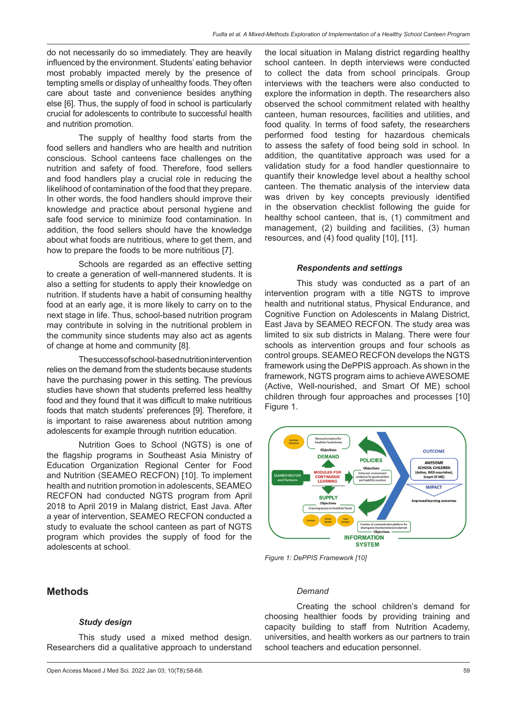do not necessarily do so immediately. They are heavily influenced by the environment. Students' eating behavior most probably impacted merely by the presence of tempting smells or display of unhealthy foods. They often care about taste and convenience besides anything else [6]. Thus, the supply of food in school is particularly crucial for adolescents to contribute to successful health and nutrition promotion.

The supply of healthy food starts from the food sellers and handlers who are health and nutrition conscious. School canteens face challenges on the nutrition and safety of food. Therefore, food sellers and food handlers play a crucial role in reducing the likelihood of contamination of the food that they prepare. In other words, the food handlers should improve their knowledge and practice about personal hygiene and safe food service to minimize food contamination. In addition, the food sellers should have the knowledge about what foods are nutritious, where to get them, and how to prepare the foods to be more nutritious [7].

Schools are regarded as an effective setting to create a generation of well-mannered students. It is also a setting for students to apply their knowledge on nutrition. If students have a habit of consuming healthy food at an early age, it is more likely to carry on to the next stage in life. Thus, school-based nutrition program may contribute in solving in the nutritional problem in the community since students may also act as agents of change at home and community [8].

The success of school-based nutrition intervention relies on the demand from the students because students have the purchasing power in this setting. The previous studies have shown that students preferred less healthy food and they found that it was difficult to make nutritious foods that match students' preferences [9]. Therefore, it is important to raise awareness about nutrition among adolescents for example through nutrition education.

Nutrition Goes to School (NGTS) is one of the flagship programs in Southeast Asia Ministry of Education Organization Regional Center for Food and Nutrition (SEAMEO RECFON) [10]. To implement health and nutrition promotion in adolescents, SEAMEO RECFON had conducted NGTS program from April 2018 to April 2019 in Malang district, East Java. After a year of intervention, SEAMEO RECFON conducted a study to evaluate the school canteen as part of NGTS program which provides the supply of food for the adolescents at school.

the local situation in Malang district regarding healthy school canteen. In depth interviews were conducted to collect the data from school principals. Group interviews with the teachers were also conducted to explore the information in depth. The researchers also observed the school commitment related with healthy canteen, human resources, facilities and utilities, and food quality. In terms of food safety, the researchers performed food testing for hazardous chemicals to assess the safety of food being sold in school. In addition, the quantitative approach was used for a validation study for a food handler questionnaire to quantify their knowledge level about a healthy school canteen. The thematic analysis of the interview data was driven by key concepts previously identified in the observation checklist following the guide for healthy school canteen, that is, (1) commitment and management, (2) building and facilities, (3) human resources, and (4) food quality [10], [11].

### *Respondents and settings*

This study was conducted as a part of an intervention program with a title NGTS to improve health and nutritional status, Physical Endurance, and Cognitive Function on Adolescents in Malang District, East Java by SEAMEO RECFON. The study area was limited to six sub districts in Malang. There were four schools as intervention groups and four schools as control groups. SEAMEO RECFON develops the NGTS framework using the DePPIS approach. As shown in the framework, NGTS program aims to achieve AWESOME (Active, Well-nourished, and Smart Of ME) school children through four approaches and processes [10] Figure 1.



*Figure 1: DePPIS Framework [10]*

# **Methods**

### *Study design*

This study used a mixed method design. Researchers did a qualitative approach to understand

#### *Demand*

Creating the school children's demand for choosing healthier foods by providing training and capacity building to staff from Nutrition Academy, universities, and health workers as our partners to train school teachers and education personnel.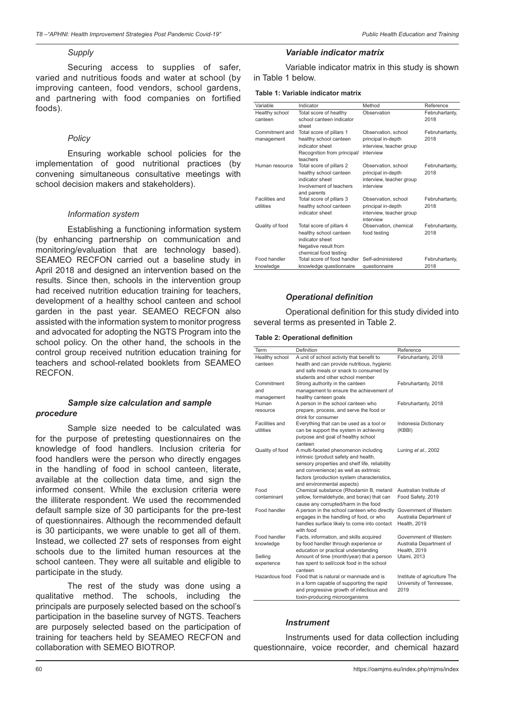#### *Supply*

Securing access to supplies of safer, varied and nutritious foods and water at school (by improving canteen, food vendors, school gardens, and partnering with food companies on fortified foods).

### *Policy*

Ensuring workable school policies for the implementation of good nutritional practices (by convening simultaneous consultative meetings with school decision makers and stakeholders).

#### *Information system*

Establishing a functioning information system (by enhancing partnership on communication and monitoring/evaluation that are technology based). SEAMEO RECFON carried out a baseline study in April 2018 and designed an intervention based on the results. Since then, schools in the intervention group had received nutrition education training for teachers, development of a healthy school canteen and school garden in the past year. SEAMEO RECFON also assisted with the information system to monitor progress and advocated for adopting the NGTS Program into the school policy. On the other hand, the schools in the control group received nutrition education training for teachers and school-related booklets from SEAMEO RECFON.

### *Sample size calculation and sample procedure*

Sample size needed to be calculated was for the purpose of pretesting questionnaires on the knowledge of food handlers. Inclusion criteria for food handlers were the person who directly engages in the handling of food in school canteen, literate, available at the collection data time, and sign the informed consent. While the exclusion criteria were the illiterate respondent. We used the recommended default sample size of 30 participants for the pre-test of questionnaires. Although the recommended default is 30 participants, we were unable to get all of them. Instead, we collected 27 sets of responses from eight schools due to the limited human resources at the school canteen. They were all suitable and eligible to participate in the study.

The rest of the study was done using a qualitative method. The schools, including the principals are purposely selected based on the school's participation in the baseline survey of NGTS. Teachers are purposely selected based on the participation of training for teachers held by SEAMEO RECFON and collaboration with SEMEO BIOTROP.

#### *Variable indicator matrix*

Variable indicator matrix in this study is shown in Table 1 below.

#### **Table 1: Variable indicator matrix**

| Variable                     | Indicator                                                                                                              | Method                                                                             | Reference              |
|------------------------------|------------------------------------------------------------------------------------------------------------------------|------------------------------------------------------------------------------------|------------------------|
| Healthy school<br>canteen    | Total score of healthy<br>school canteen indicator<br>sheet                                                            | Observation                                                                        | Februhartanty,<br>2018 |
| Commitment and<br>management | Total score of pillars 1<br>healthy school canteen<br>indicator sheet<br>Recognition from principal/<br>teachers       | Observation, school<br>principal in-depth<br>interview, teacher group<br>interview | Februhartanty,<br>2018 |
| Human resource               | Total score of pillars 2<br>healthy school canteen<br>indicator sheet<br>Involvement of teachers<br>and parents        | Observation, school<br>principal in-depth<br>interview, teacher group<br>interview | Februhartanty,<br>2018 |
| Facilities and<br>utilities  | Total score of pillars 3<br>healthy school canteen<br>indicator sheet                                                  | Observation, school<br>principal in-depth<br>interview, teacher group<br>interview | Februhartanty,<br>2018 |
| Quality of food              | Total score of pillars 4<br>healthy school canteen<br>indicator sheet<br>Negative result from<br>chemical food testing | Observation, chemical<br>food testing                                              | Februhartanty,<br>2018 |
| Food handler<br>knowledge    | Total score of food handler<br>knowledge questionnaire                                                                 | Self-administered<br>questionnaire                                                 | Februhartanty,<br>2018 |

### *Operational definition*

Operational definition for this study divided into several terms as presented in Table 2.

#### **Table 2: Operational definition**

| Term                            | Definition                                                                                                                                                                                                                                            | Reference                                                        |
|---------------------------------|-------------------------------------------------------------------------------------------------------------------------------------------------------------------------------------------------------------------------------------------------------|------------------------------------------------------------------|
| Healthy school<br>canteen       | A unit of school activity that benefit to<br>health and can provide nutritious, hygienic<br>and safe meals or snack to consumed by<br>students and other school member                                                                                | Februhartanty, 2018                                              |
| Commitment<br>and<br>management | Strong authority in the canteen<br>management to ensure the achievement of<br>healthy canteen goals                                                                                                                                                   | Februhartanty, 2018                                              |
| Human<br>resource               | A person in the school canteen who<br>prepare, process, and serve the food or<br>drink for consumer                                                                                                                                                   | Februhartanty, 2018                                              |
| Facilities and<br>utilities     | Everything that can be used as a tool or<br>can be support the system in achieving<br>purpose and goal of healthy school<br>canteen                                                                                                                   | Indonesia Dictionary<br>(KBBI)                                   |
| Quality of food                 | A multi-faceted phenomenon including<br>intrinsic (product safety and health,<br>sensory properties and shelf life, reliability<br>and convenience) as well as extrinsic<br>factors (production system characteristics,<br>and environmental aspects) | Luning et al., 2002                                              |
| Food<br>contaminant             | Chemical substance (Rhodamin B, metanil<br>yellow, formaldehyde, and borax) that can<br>cause any corrupted/harm in the food                                                                                                                          | Australian Institute of<br>Food Safety, 2019                     |
| Food handler                    | A person in the school canteen who directly<br>engages in the handling of food, or who<br>handles surface likely to come into contact<br>with food                                                                                                    | Government of Western<br>Australia Department of<br>Health, 2019 |
| Food handler                    | Facts, information, and skills acquired                                                                                                                                                                                                               | Government of Western                                            |
| knowledge                       | by food handler through experience or<br>education or practical understanding                                                                                                                                                                         | Australia Department of<br><b>Health, 2019</b>                   |
| Selling<br>experience           | Amount of time (month/year) that a person<br>has spent to sell/cook food in the school<br>canteen                                                                                                                                                     | Utami, 2013                                                      |
| Hazardous food                  | Food that is natural or manmade and is<br>in a form capable of supporting the rapid<br>and progressive growth of infectious and<br>toxin-producing microorganisms                                                                                     | Institute of agriculture The<br>University of Tennessee,<br>2019 |

#### *Instrument*

Instruments used for data collection including questionnaire, voice recorder, and chemical hazard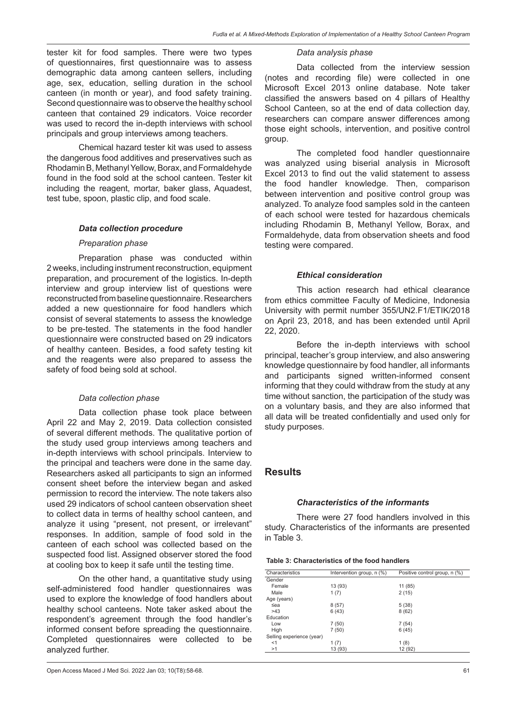tester kit for food samples. There were two types of questionnaires, first questionnaire was to assess demographic data among canteen sellers, including age, sex, education, selling duration in the school canteen (in month or year), and food safety training. Second questionnaire was to observe the healthy school canteen that contained 29 indicators. Voice recorder was used to record the in-depth interviews with school principals and group interviews among teachers.

Chemical hazard tester kit was used to assess the dangerous food additives and preservatives such as Rhodamin B, Methanyl Yellow, Borax, and Formaldehyde found in the food sold at the school canteen. Tester kit including the reagent, mortar, baker glass, Aquadest, test tube, spoon, plastic clip, and food scale.

### *Data collection procedure*

### *Preparation phase*

Preparation phase was conducted within 2 weeks, including instrument reconstruction, equipment preparation, and procurement of the logistics. In-depth interview and group interview list of questions were reconstructed from baseline questionnaire. Researchers added a new questionnaire for food handlers which consist of several statements to assess the knowledge to be pre-tested. The statements in the food handler questionnaire were constructed based on 29 indicators of healthy canteen. Besides, a food safety testing kit and the reagents were also prepared to assess the safety of food being sold at school.

### *Data collection phase*

Data collection phase took place between April 22 and May 2, 2019. Data collection consisted of several different methods. The qualitative portion of the study used group interviews among teachers and in-depth interviews with school principals. Interview to the principal and teachers were done in the same day. Researchers asked all participants to sign an informed consent sheet before the interview began and asked permission to record the interview. The note takers also used 29 indicators of school canteen observation sheet to collect data in terms of healthy school canteen, and analyze it using "present, not present, or irrelevant" responses. In addition, sample of food sold in the canteen of each school was collected based on the suspected food list. Assigned observer stored the food at cooling box to keep it safe until the testing time.

On the other hand, a quantitative study using self-administered food handler questionnaires was used to explore the knowledge of food handlers about healthy school canteens. Note taker asked about the respondent's agreement through the food handler's informed consent before spreading the questionnaire. Completed questionnaires were collected to be analyzed further.

#### *Data analysis phase*

Data collected from the interview session (notes and recording file) were collected in one Microsoft Excel 2013 online database. Note taker classified the answers based on 4 pillars of Healthy School Canteen, so at the end of data collection day, researchers can compare answer differences among those eight schools, intervention, and positive control group.

The completed food handler questionnaire was analyzed using biserial analysis in Microsoft Excel 2013 to find out the valid statement to assess the food handler knowledge. Then, comparison between intervention and positive control group was analyzed. To analyze food samples sold in the canteen of each school were tested for hazardous chemicals including Rhodamin B, Methanyl Yellow, Borax, and Formaldehyde, data from observation sheets and food testing were compared.

### *Ethical consideration*

This action research had ethical clearance from ethics committee Faculty of Medicine, Indonesia University with permit number 355/UN2.F1/ETIK/2018 on April 23, 2018, and has been extended until April 22, 2020.

Before the in-depth interviews with school principal, teacher's group interview, and also answering knowledge questionnaire by food handler, all informants and participants signed written-informed consent informing that they could withdraw from the study at any time without sanction, the participation of the study was on a voluntary basis, and they are also informed that all data will be treated confidentially and used only for study purposes.

# **Results**

### *Characteristics of the informants*

There were 27 food handlers involved in this study. Characteristics of the informants are presented in Table 3.

| Table 3: Characteristics of the food handlers |  |
|-----------------------------------------------|--|
|-----------------------------------------------|--|

| Characteristics           | Intervention group, n (%) | Positive control group, n (%) |
|---------------------------|---------------------------|-------------------------------|
| Gender                    |                           |                               |
| Female                    | 13 (93)                   | 11 (85)                       |
| Male                      | 1(7)                      | 2(15)                         |
| Age (years)               |                           |                               |
| $\leq$ ea                 | 8(57)                     | 5(38)                         |
| >43                       | 6(43)                     | 8(62)                         |
| Education                 |                           |                               |
| Low                       | 7(50)                     | 7(54)                         |
| High                      | 7(50)                     | 6(45)                         |
| Selling experience (year) |                           |                               |
| $<$ 1                     | 1(7)                      | 1(8)                          |
| >1                        | 13 (93)                   | 12 (92)                       |
|                           |                           |                               |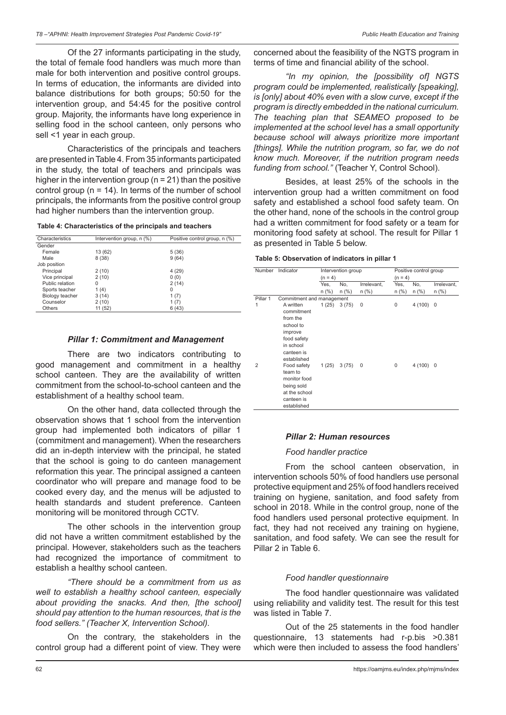Of the 27 informants participating in the study, the total of female food handlers was much more than male for both intervention and positive control groups. In terms of education, the informants are divided into balance distributions for both groups; 50:50 for the intervention group, and 54:45 for the positive control group. Majority, the informants have long experience in selling food in the school canteen, only persons who sell <1 year in each group.

Characteristics of the principals and teachers are presented in Table 4. From 35 informants participated in the study, the total of teachers and principals was higher in the intervention group ( $n = 21$ ) than the positive control group ( $n = 14$ ). In terms of the number of school principals, the informants from the positive control group had higher numbers than the intervention group.

**Table 4: Characteristics of the principals and teachers**

| Characteristics | Intervention group, n (%) | Positive control group, n (%) |
|-----------------|---------------------------|-------------------------------|
| Gender          |                           |                               |
| Female          | 13 (62)                   | 5(36)                         |
| Male            | 8(38)                     | 9(64)                         |
| Job position    |                           |                               |
| Principal       | 2(10)                     | 4(29)                         |
| Vice principal  | 2(10)                     | 0(0)                          |
| Public relation | 0                         | 2(14)                         |
| Sports teacher  | 1(4)                      | 0                             |
| Biology teacher | 3(14)                     | 1(7)                          |
| Counselor       | 2(10)                     | 1(7)                          |
| <b>Others</b>   | 11 (52)                   | 6(43)                         |

# *Pillar 1: Commitment and Management*

There are two indicators contributing to good management and commitment in a healthy school canteen. They are the availability of written commitment from the school-to-school canteen and the establishment of a healthy school team.

On the other hand, data collected through the observation shows that 1 school from the intervention group had implemented both indicators of pillar 1 (commitment and management). When the researchers did an in-depth interview with the principal, he stated that the school is going to do canteen management reformation this year. The principal assigned a canteen coordinator who will prepare and manage food to be cooked every day, and the menus will be adjusted to health standards and student preference. Canteen monitoring will be monitored through CCTV.

The other schools in the intervention group did not have a written commitment established by the principal. However, stakeholders such as the teachers had recognized the importance of commitment to establish a healthy school canteen.

*"There should be a commitment from us as well to establish a healthy school canteen, especially about providing the snacks. And then, [the school] should pay attention to the human resources, that is the food sellers." (Teacher X, Intervention School).*

On the contrary, the stakeholders in the control group had a different point of view. They were concerned about the feasibility of the NGTS program in terms of time and financial ability of the school.

*"In my opinion, the [possibility of] NGTS program could be implemented, realistically [speaking], is [only] about 40% even with a slow curve, except if the program is directly embedded in the national curriculum. The teaching plan that SEAMEO proposed to be implemented at the school level has a small opportunity because school will always prioritize more important [things]. While the nutrition program, so far, we do not know much. Moreover, if the nutrition program needs funding from school."* (Teacher Y, Control School).

Besides, at least 25% of the schools in the intervention group had a written commitment on food safety and established a school food safety team. On the other hand, none of the schools in the control group had a written commitment for food safety or a team for monitoring food safety at school. The result for Pillar 1 as presented in Table 5 below.

#### **Table 5: Observation of indicators in pillar 1**

| Number         | Indicator                 | Intervention group<br>$(n = 4)$ |         |             | Positive control group<br>$(n = 4)$ |         |                         |
|----------------|---------------------------|---------------------------------|---------|-------------|-------------------------------------|---------|-------------------------|
|                |                           | Yes,                            | No,     | Irrelevant. | Yes,                                | No.     | Irrelevant,             |
|                |                           | n (%)                           | $n$ (%) | $n$ (%)     | n (%)                               | $n$ (%) | $n$ (%)                 |
| Pillar 1       | Commitment and management |                                 |         |             |                                     |         |                         |
| 1              | A written                 | 1(25)                           | 3(75)   | 0           | $\mathbf{0}$                        | 4 (100) | 0                       |
|                | commitment                |                                 |         |             |                                     |         |                         |
|                | from the                  |                                 |         |             |                                     |         |                         |
|                | school to                 |                                 |         |             |                                     |         |                         |
|                | improve                   |                                 |         |             |                                     |         |                         |
|                | food safety               |                                 |         |             |                                     |         |                         |
|                | in school                 |                                 |         |             |                                     |         |                         |
|                | canteen is                |                                 |         |             |                                     |         |                         |
|                | established               |                                 |         |             |                                     |         |                         |
| $\overline{2}$ | Food safety               | 1(25)                           | 3(75)   | 0           | 0                                   | 4 (100) | $\overline{\mathbf{0}}$ |
|                | team to                   |                                 |         |             |                                     |         |                         |
|                | monitor food              |                                 |         |             |                                     |         |                         |
|                | being sold                |                                 |         |             |                                     |         |                         |
|                | at the school             |                                 |         |             |                                     |         |                         |
|                | canteen is                |                                 |         |             |                                     |         |                         |
|                | established               |                                 |         |             |                                     |         |                         |

### *Pillar 2: Human resources*

### *Food handler practice*

From the school canteen observation, in intervention schools 50% of food handlers use personal protective equipment and 25% of food handlers received training on hygiene, sanitation, and food safety from school in 2018. While in the control group, none of the food handlers used personal protective equipment. In fact, they had not received any training on hygiene, sanitation, and food safety. We can see the result for Pillar 2 in Table 6.

### *Food handler questionnaire*

The food handler questionnaire was validated using reliability and validity test. The result for this test was listed in Table 7.

Out of the 25 statements in the food handler questionnaire, 13 statements had r-p.bis >0.381 which were then included to assess the food handlers'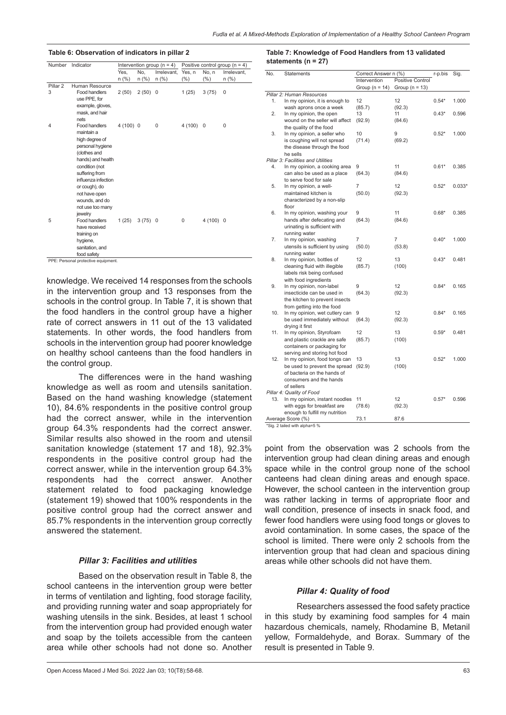#### **Table 6: Observation of indicators in pillar 2**

| Number                   | Indicator                                                                                                                                                                                                                                            |            |         | Intervention group ( $n = 4$ ) | Positive control group ( $n = 4$ ) |          |             |
|--------------------------|------------------------------------------------------------------------------------------------------------------------------------------------------------------------------------------------------------------------------------------------------|------------|---------|--------------------------------|------------------------------------|----------|-------------|
|                          |                                                                                                                                                                                                                                                      | Yes,       | No.     | Irrelevant.                    | Yes. n                             | No. n    | Irrelevant. |
|                          |                                                                                                                                                                                                                                                      | n (%)      | $n$ (%) | $n$ (%)                        | (%)                                | (% )     | n (%)       |
| Pillar <sub>2</sub><br>3 | Human Resource<br>Food handlers<br>use PPE. for<br>example, gloves,<br>mask, and hair<br>nets                                                                                                                                                        | 2(50)      | 2(50) 0 |                                | 1(25)                              | 3(75)    | 0           |
| 4                        | Food handlers<br>maintain a<br>high degree of<br>personal hygiene<br>(clothes and<br>hands) and health<br>condition (not<br>suffering from<br>influenza infection<br>or cough), do<br>not have open<br>wounds, and do<br>not use too many<br>jewelry | $4(100)$ 0 |         | 0                              | 4(100) 0                           |          | 0           |
| 5<br>ppr p               | Food handlers<br>have received<br>training on<br>hygiene,<br>sanitation, and<br>food safety<br>$\sim$ 10 $\sim$                                                                                                                                      | 1(25)      | 3(75) 0 |                                | 0                                  | 4(100) 0 |             |

PPE: Personal protective equipment

knowledge. We received 14 responses from the schools in the intervention group and 13 responses from the schools in the control group. In Table 7, it is shown that the food handlers in the control group have a higher rate of correct answers in 11 out of the 13 validated statements. In other words, the food handlers from schools in the intervention group had poorer knowledge on healthy school canteens than the food handlers in the control group.

The differences were in the hand washing knowledge as well as room and utensils sanitation. Based on the hand washing knowledge (statement 10), 84.6% respondents in the positive control group had the correct answer, while in the intervention group 64.3% respondents had the correct answer. Similar results also showed in the room and utensil sanitation knowledge (statement 17 and 18), 92.3% respondents in the positive control group had the correct answer, while in the intervention group 64.3% respondents had the correct answer. Another statement related to food packaging knowledge (statement 19) showed that 100% respondents in the positive control group had the correct answer and 85.7% respondents in the intervention group correctly answered the statement.

#### *Pillar 3: Facilities and utilities*

Based on the observation result in Table 8, the school canteens in the intervention group were better in terms of ventilation and lighting, food storage facility, and providing running water and soap appropriately for washing utensils in the sink. Besides, at least 1 school from the intervention group had provided enough water and soap by the toilets accessible from the canteen area while other schools had not done so. Another

#### **Table 7: Knowledge of Food Handlers from 13 validated statements (n = 27)**

| No. | Statements                         | Correct Answer n (%) |                    | r-p.bis | Sig.     |
|-----|------------------------------------|----------------------|--------------------|---------|----------|
|     |                                    | Intervention         | Positive Control   |         |          |
|     |                                    | Group ( $n = 14$ )   | Group ( $n = 13$ ) |         |          |
|     | Pillar 2: Human Resources          |                      |                    |         |          |
| 1.  | In my opinion, it is enough to     | 12                   | 12                 | $0.54*$ | 1.000    |
|     | wash aprons once a week            | (85.7)               | (92.3)             |         |          |
| 2.  | In my opinion, the open            | 13                   | 11                 | $0.43*$ | 0.596    |
|     | wound on the seller will affect    | (92.9)               | (84.6)             |         |          |
|     | the quality of the food            |                      |                    |         |          |
| 3.  | In my opinion, a seller who        | 10                   | 9                  | $0.52*$ | 1.000    |
|     | is coughing will not spread        | (71.4)               | (69.2)             |         |          |
|     | the disease through the food       |                      |                    |         |          |
|     | he sells                           |                      |                    |         |          |
|     | Pillar 3: Facilities and Utilities |                      |                    |         |          |
| 4.  | In my opinion, a cooking area      | 9                    | 11                 | $0.61*$ | 0.385    |
|     | can also be used as a place        | (64.3)               | (84.6)             |         |          |
|     | to serve food for sale             |                      |                    |         |          |
| 5.  | In my opinion, a well-             | 7                    | 12                 | $0.52*$ | $0.033*$ |
|     | maintained kitchen is              | (50.0)               | (92.3)             |         |          |
|     | characterized by a non-slip        |                      |                    |         |          |
|     | floor                              |                      |                    |         |          |
| 6.  | In my opinion, washing your        | 9                    | 11                 | $0.68*$ | 0.385    |
|     | hands after defecating and         | (64.3)               | (84.6)             |         |          |
|     | urinating is sufficient with       |                      |                    |         |          |
|     | running water                      |                      |                    |         |          |
| 7.  | In my opinion, washing             | 7                    | 7                  | $0.40*$ | 1.000    |
|     | utensils is sufficient by using    | (50.0)               | (53.8)             |         |          |
|     | running water                      |                      |                    |         |          |
| 8.  | In my opinion, bottles of          | 12                   | 13                 | $0.43*$ | 0.481    |
|     | cleaning fluid with illegible      | (85.7)               | (100)              |         |          |
|     | labels risk being confused         |                      |                    |         |          |
|     | with food ingredients              |                      |                    |         |          |
| 9.  | In my opinion, non-label           | 9                    | 12                 | $0.84*$ | 0.165    |
|     | insecticide can be used in         | (64.3)               | (92.3)             |         |          |
|     |                                    |                      |                    |         |          |
|     | the kitchen to prevent insects     |                      |                    |         |          |
| 10. | from getting into the food         |                      | 12                 |         | 0.165    |
|     | In my opinion, wet cutlery can     | 9                    |                    | $0.84*$ |          |
|     | be used immediately without        | (64.3)               | (92.3)             |         |          |
| 11. | drying it first                    |                      |                    |         |          |
|     | In my opinion, Styrofoam           | 12                   | 13                 | $0.59*$ | 0.481    |
|     | and plastic crackle are safe       | (85.7)               | (100)              |         |          |
|     | containers or packaging for        |                      |                    |         |          |
|     | serving and storing hot food       |                      |                    |         |          |
| 12. | In my opinion, food tongs can      | 13                   | 13                 | $0.52*$ | 1.000    |
|     | be used to prevent the spread      | (92.9)               | (100)              |         |          |
|     | of bacteria on the hands of        |                      |                    |         |          |
|     | consumers and the hands            |                      |                    |         |          |
|     | of sellers                         |                      |                    |         |          |
|     | Pillar 4: Quality of Food          |                      |                    |         |          |
| 13. | In my opinion, instant noodles     | 11                   | 12                 | $0.57*$ | 0.596    |
|     | with eggs for breakfast are        | (78.6)               | (92.3)             |         |          |
|     | enough to fulfill my nutrition     |                      |                    |         |          |
|     | Average Score (%)                  | 73.1                 | 87.6               |         |          |

\*Sig. 2 tailed with alpha=5 %

point from the observation was 2 schools from the intervention group had clean dining areas and enough space while in the control group none of the school canteens had clean dining areas and enough space. However, the school canteen in the intervention group was rather lacking in terms of appropriate floor and wall condition, presence of insects in snack food, and fewer food handlers were using food tongs or gloves to avoid contamination. In some cases, the space of the school is limited. There were only 2 schools from the intervention group that had clean and spacious dining areas while other schools did not have them.

#### *Pillar 4: Quality of food*

Researchers assessed the food safety practice in this study by examining food samples for 4 main hazardous chemicals, namely, Rhodamine B, Metanil yellow, Formaldehyde, and Borax. Summary of the result is presented in Table 9.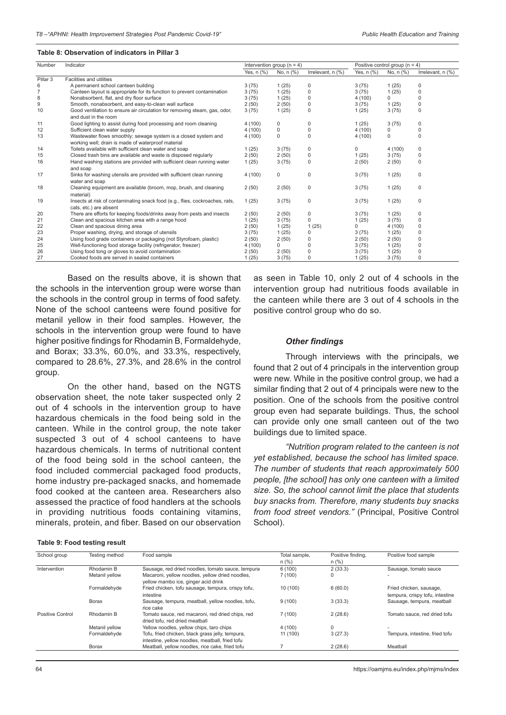#### **Table 8: Observation of indicators in Pillar 3**

| Number   | Indicator                                                                                                             |                 | Intervention group ( $n = 4$ ) |                   |            | Positive control group ( $n = 4$ ) |                        |  |
|----------|-----------------------------------------------------------------------------------------------------------------------|-----------------|--------------------------------|-------------------|------------|------------------------------------|------------------------|--|
|          |                                                                                                                       | Yes, $n$ $(\%)$ | No, n (%)                      | Irrelevant, n (%) | Yes, n (%) | No, n (%)                          | Irrelevant, $n$ $(\%)$ |  |
| Pillar 3 | Facilities and utilities                                                                                              |                 |                                |                   |            |                                    |                        |  |
| 6        | A permanent school canteen building                                                                                   | 3(75)           | 1(25)                          | 0                 | 3(75)      | 1(25)                              | $\mathbf{0}$           |  |
|          | Canteen layout is appropriate for its function to prevent contamination                                               | 3(75)           | 1(25)                          | $\mathbf 0$       | 3(75)      | 1(25)                              | $\Omega$               |  |
| 8        | Nonabsorbent, flat, and dry floor surface                                                                             | 3(75)           | 1(25)                          | $\mathbf 0$       | 4(100)     | $\Omega$                           | $\Omega$               |  |
| 9        | Smooth, nonabsorbent, and easy-to-clean wall surface                                                                  | 2(50)           | 2(50)                          | 0                 | 3(75)      | 1(25)                              | $\mathbf{0}$           |  |
| 10       | Good ventilation to ensure air circulation for removing steam, gas, odor,<br>and dust in the room                     | 3(75)           | 1(25)                          | $\mathbf 0$       | 1(25)      | 3(75)                              | $\mathbf 0$            |  |
| 11       | Good lighting to assist during food processing and room cleaning                                                      | 4(100)          | 0                              | $\mathbf 0$       | 1(25)      | 3(75)                              | $\mathbf 0$            |  |
| 12       | Sufficient clean water supply                                                                                         | 4(100)          | 0                              | $\Omega$          | 4(100)     | 0                                  | $\Omega$               |  |
| 13       | Wastewater flows smoothly; sewage system is a closed system and<br>working well; drain is made of waterproof material | 4(100)          | 0                              | $\Omega$          | 4 (100)    | $\mathbf 0$                        | $\Omega$               |  |
| 14       | Toilets available with sufficient clean water and soap                                                                | 1(25)           | 3(75)                          | $\mathbf 0$       | $\Omega$   | 4(100)                             | $\mathbf 0$            |  |
| 15       | Closed trash bins are available and waste is disposed regularly                                                       | 2(50)           | 2(50)                          | 0                 | 1(25)      | 3(75)                              | $\Omega$               |  |
| 16       | Hand washing stations are provided with sufficient clean running water                                                | 1(25)           | 3(75)                          | $\mathbf 0$       | 2(50)      | 2(50)                              | $\mathbf 0$            |  |
|          | and soap                                                                                                              |                 |                                |                   |            |                                    |                        |  |
| 17       | Sinks for washing utensils are provided with sufficient clean running                                                 | 4(100)          | 0                              | $\mathbf 0$       | 3(75)      | 1(25)                              | $\mathbf 0$            |  |
|          | water and soap                                                                                                        |                 |                                |                   |            |                                    |                        |  |
| 18       | Cleaning equipment are available (broom, mop, brush, and cleaning<br>material)                                        | 2(50)           | 2(50)                          | 0                 | 3(75)      | 1(25)                              | $\mathbf 0$            |  |
| 19       | Insects at risk of contaminating snack food (e.g., flies, cockroaches, rats,                                          | 1(25)           | 3(75)                          | $\mathsf 0$       | 3(75)      | 1(25)                              | $\mathbf 0$            |  |
|          | cats, etc.) are absent                                                                                                |                 |                                |                   |            |                                    |                        |  |
| 20       | There are efforts for keeping foods/drinks away from pests and insects                                                | 2(50)           | 2(50)                          | 0                 | 3(75)      | 1(25)                              | $\mathbf 0$            |  |
| 21       | Clean and spacious kitchen area with a range hood                                                                     | 1(25)           | 3(75)                          | $\mathbf 0$       | 1(25)      | 3(75)                              | 0                      |  |
| 22       | Clean and spacious dining area                                                                                        | 2(50)           | 1(25)                          | 1(25)             | 0          | 4(100)                             | $\mathbf 0$            |  |
| 23       | Proper washing, drying, and storage of utensils                                                                       | 3(75)           | 1(25)                          | 0                 | 3(75)      | 1(25)                              | $\mathbf 0$            |  |
| 24       | Using food grade containers or packaging (not Styrofoam, plastic)                                                     | 2(50)           | 2(50)                          | 0                 | 2(50)      | 2(50)                              | $\Omega$               |  |
| 25       | Well-functioning food storage facility (refrigerator, freezer)                                                        | 4(100)          | 0                              | 0                 | 3(75)      | 1(25)                              | $\Omega$               |  |
| 26       | Using food tong or gloves to avoid contamination                                                                      | 2(50)           | 2(50)                          | 0                 | 3(75)      | 1(25)                              | $\mathbf 0$            |  |
| 27       | Cooked foods are served in sealed containers                                                                          | 1(25)           | 3(75)                          | $\mathbf 0$       | 1(25)      | 3(75)                              | $\Omega$               |  |

Based on the results above, it is shown that the schools in the intervention group were worse than the schools in the control group in terms of food safety. None of the school canteens were found positive for metanil yellow in their food samples. However, the schools in the intervention group were found to have higher positive findings for Rhodamin B, Formaldehyde, and Borax; 33.3%, 60.0%, and 33.3%, respectively, compared to 28.6%, 27.3%, and 28.6% in the control group.

On the other hand, based on the NGTS observation sheet, the note taker suspected only 2 out of 4 schools in the intervention group to have hazardous chemicals in the food being sold in the canteen. While in the control group, the note taker suspected 3 out of 4 school canteens to have hazardous chemicals. In terms of nutritional content of the food being sold in the school canteen, the food included commercial packaged food products, home industry pre-packaged snacks, and homemade food cooked at the canteen area. Researchers also assessed the practice of food handlers at the schools in providing nutritious foods containing vitamins, minerals, protein, and fiber. Based on our observation

# as seen in Table 10, only 2 out of 4 schools in the intervention group had nutritious foods available in the canteen while there are 3 out of 4 schools in the positive control group who do so.

#### *Other findings*

Through interviews with the principals, we found that 2 out of 4 principals in the intervention group were new. While in the positive control group, we had a similar finding that 2 out of 4 principals were new to the position. One of the schools from the positive control group even had separate buildings. Thus, the school can provide only one small canteen out of the two buildings due to limited space.

*"Nutrition program related to the canteen is not yet established, because the school has limited space. The number of students that reach approximately 500 people, [the school] has only one canteen with a limited size. So, the school cannot limit the place that students buy snacks from. Therefore, many students buy snacks from food street vendors."* (Principal, Positive Control School).

#### **Table 9: Food testing result**

| School group     | Testing method | Food sample                                                                                         | Total sample. | Positive finding, | Positive food sample                                       |
|------------------|----------------|-----------------------------------------------------------------------------------------------------|---------------|-------------------|------------------------------------------------------------|
|                  |                |                                                                                                     | $n$ (%)       | n (%)             |                                                            |
| Intervention     | Rhodamin B     | Sausage, red dried noodles, tomato sauce, tempura                                                   | 6(100)        | 2(33.3)           | Sausage, tomato sauce                                      |
|                  | Metanil yellow | Macaroni, yellow noodles, yellow dried noodles,<br>yellow mambo ice, ginger acid drink              | 7(100)        | 0                 |                                                            |
|                  | Formaldehyde   | Fried chicken, tofu sausage, tempura, crispy tofu,<br>intestine                                     | 10 (100)      | 6(60.0)           | Fried chicken, sausage,<br>tempura, crispy tofu, intestine |
|                  | Borax          | Sausage, tempura, meatball, yellow noodles, tofu,<br>rice cake                                      | 9(100)        | 3(33.3)           | Sausage, tempura, meatball                                 |
| Positive Control | Rhodamin B     | Tomato sauce, red macaroni, red dried chips, red<br>dried tofu, red dried meatball                  | 7(100)        | 2(28.6)           | Tomato sauce, red dried tofu                               |
|                  | Metanil yellow | Yellow noodles, yellow chips, taro chips                                                            | 4(100)        | $\Omega$          |                                                            |
|                  | Formaldehvde   | Tofu, fried chicken, black grass jelly, tempura,<br>intestine, yellow noodles, meatball, fried tofu | 11 (100)      | 3(27.3)           | Tempura, intestine, fried tofu                             |
|                  | Borax          | Meatball, yellow noodles, rice cake, fried tofu                                                     |               | 2(28.6)           | Meatball                                                   |

64 <https://oamjms.eu/index.php/mjms/index>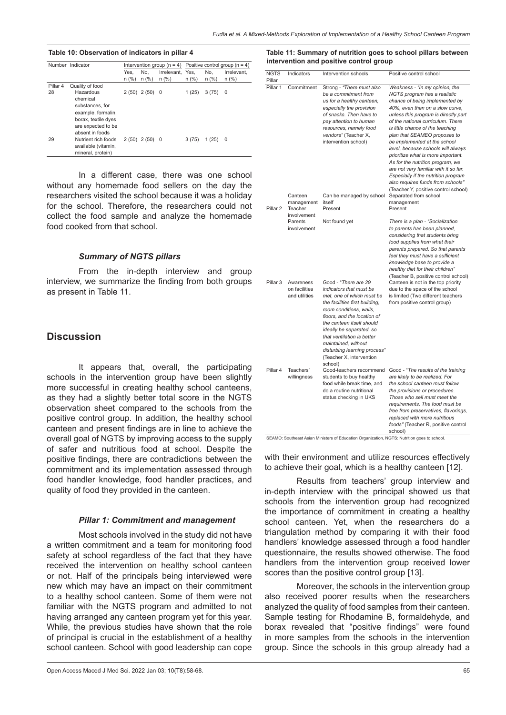#### **Table 10: Observation of indicators in pillar 4**

| Number   | Indicator                             |      |                   | Intervention group ( $n = 4$ ) |       |        | Positive control group ( $n = 4$ ) |
|----------|---------------------------------------|------|-------------------|--------------------------------|-------|--------|------------------------------------|
|          |                                       | Yes. | No.               | Irrelevant.                    | Yes.  | No.    | Irrelevant.                        |
|          |                                       | n(%) | $n$ (%)           | $n$ (%)                        | n(%)  | n(%)   | $n$ (%)                            |
| Pillar 4 | Quality of food                       |      |                   |                                |       |        |                                    |
| 28       | Hazardous                             |      | $2(50)$ $2(50)$   | - 0                            | 1(25) | 3(75)  | 0                                  |
|          | chemical                              |      |                   |                                |       |        |                                    |
|          | substances, for<br>example, formalin, |      |                   |                                |       |        |                                    |
|          | borax, textile dyes                   |      |                   |                                |       |        |                                    |
|          | are expected to be                    |      |                   |                                |       |        |                                    |
|          | absent in foods                       |      |                   |                                |       |        |                                    |
| 29       | Nutrient rich foods                   |      | $2(50)$ $2(50)$ 0 |                                | 3(75) | 1 (25) | 0                                  |
|          | available (vitamin,                   |      |                   |                                |       |        |                                    |
|          | mineral, protein)                     |      |                   |                                |       |        |                                    |

In a different case, there was one school without any homemade food sellers on the day the researchers visited the school because it was a holiday for the school. Therefore, the researchers could not collect the food sample and analyze the homemade food cooked from that school.

#### *Summary of NGTS pillars*

From the in-depth interview and group interview, we summarize the finding from both groups as present in Table 11.

# **Discussion**

It appears that, overall, the participating schools in the intervention group have been slightly more successful in creating healthy school canteens, as they had a slightly better total score in the NGTS observation sheet compared to the schools from the positive control group. In addition, the healthy school canteen and present findings are in line to achieve the overall goal of NGTS by improving access to the supply of safer and nutritious food at school. Despite the positive findings, there are contradictions between the commitment and its implementation assessed through food handler knowledge, food handler practices, and quality of food they provided in the canteen.

#### *Pillar 1: Commitment and management*

Most schools involved in the study did not have a written commitment and a team for monitoring food safety at school regardless of the fact that they have received the intervention on healthy school canteen or not. Half of the principals being interviewed were new which may have an impact on their commitment to a healthy school canteen. Some of them were not familiar with the NGTS program and admitted to not having arranged any canteen program yet for this year. While, the previous studies have shown that the role of principal is crucial in the establishment of a healthy school canteen. School with good leadership can cope

| <b>NGTS</b><br>Pillar | Indicators                                  | Intervention schools                                                                                                                                                                                                                                                                                                                                          | Positive control school                                                                                                                                                                                                                                                                                                                                                                                                                                                                                                                                   |
|-----------------------|---------------------------------------------|---------------------------------------------------------------------------------------------------------------------------------------------------------------------------------------------------------------------------------------------------------------------------------------------------------------------------------------------------------------|-----------------------------------------------------------------------------------------------------------------------------------------------------------------------------------------------------------------------------------------------------------------------------------------------------------------------------------------------------------------------------------------------------------------------------------------------------------------------------------------------------------------------------------------------------------|
| Pillar 1              | Commitment                                  | Strong - "There must also<br>be a commitment from<br>us for a healthy canteen.<br>especially the provision<br>of snacks. Then have to<br>pay attention to human<br>resources, namely food<br>vendors" (Teacher X,<br>intervention school)                                                                                                                     | Weakness - "In my opinion, the<br>NGTS program has a realistic<br>chance of being implemented by<br>40%, even then on a slow curve,<br>unless this program is directly part<br>of the national curriculum. There<br>is little chance of the teaching<br>plan that SEAMEO proposes to<br>be implemented at the school<br>level, because schools will always<br>prioritize what is more important.<br>As for the nutrition program, we<br>are not very familiar with it so far.<br>Especially if the nutrition program<br>also requires funds from schools" |
| Pillar <sub>2</sub>   | Canteen<br>management<br>Teacher            | Can be managed by school<br>itself<br>Present                                                                                                                                                                                                                                                                                                                 | (Teacher Y, positive control school)<br>Separated from school<br>management<br>Present                                                                                                                                                                                                                                                                                                                                                                                                                                                                    |
|                       | involvement<br>Parents<br>involvement       | Not found yet                                                                                                                                                                                                                                                                                                                                                 | There is a plan - "Socialization<br>to parents has been planned,<br>considering that students bring<br>food supplies from what their<br>parents prepared. So that parents<br>feel they must have a sufficient<br>knowledge base to provide a<br>healthy diet for their children"<br>(Teacher B, positive control school)                                                                                                                                                                                                                                  |
| Pillar 3              | Awareness<br>on facilities<br>and utilities | Good - "There are 29<br>indicators that must be<br>met, one of which must be<br>the facilities first building,<br>room conditions, walls.<br>floors, and the location of<br>the canteen itself should<br>ideally be separated, so<br>that ventilation is better<br>maintained, without<br>disturbing learning process"<br>(Teacher X, intervention<br>school) | Canteen is not in the top priority<br>due to the space of the school<br>is limited (Two different teachers<br>from positive control group)                                                                                                                                                                                                                                                                                                                                                                                                                |
| Pillar 4              | Teachers'<br>willingness                    | Good-teachers recommend<br>students to buy healthy<br>food while break time, and<br>do a routine nutritional<br>status checking in UKS                                                                                                                                                                                                                        | Good - "The results of the training<br>are likely to be realized. For<br>the school canteen must follow<br>the provisions or procedures.<br>Those who sell must meet the<br>requirements. The food must be<br>free from preservatives, flavorings,<br>replaced with more nutritious<br>foods" (Teacher R, positive control<br>school)                                                                                                                                                                                                                     |

SEAMO: Southeast Asian Ministers of Education Organization, NGTS: Nutrition goes to school.

with their environment and utilize resources effectively to achieve their goal, which is a healthy canteen [12].

Results from teachers' group interview and in-depth interview with the principal showed us that schools from the intervention group had recognized the importance of commitment in creating a healthy school canteen. Yet, when the researchers do a triangulation method by comparing it with their food handlers' knowledge assessed through a food handler questionnaire, the results showed otherwise. The food handlers from the intervention group received lower scores than the positive control group [13].

Moreover, the schools in the intervention group also received poorer results when the researchers analyzed the quality of food samples from their canteen. Sample testing for Rhodamine B, formaldehyde, and borax revealed that "positive findings" were found in more samples from the schools in the intervention group. Since the schools in this group already had a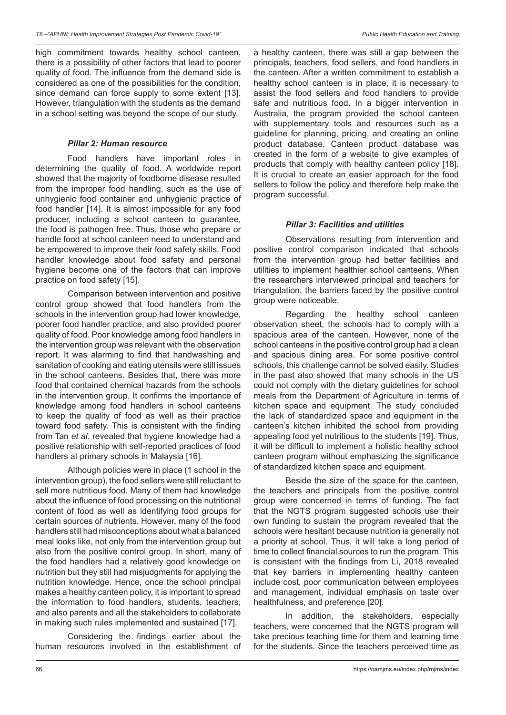high commitment towards healthy school canteen, there is a possibility of other factors that lead to poorer quality of food. The influence from the demand side is considered as one of the possibilities for the condition, since demand can force supply to some extent [13]. However, triangulation with the students as the demand in a school setting was beyond the scope of our study.

# *Pillar 2: Human resource*

Food handlers have important roles in determining the quality of food. A worldwide report showed that the majority of foodborne disease resulted from the improper food handling, such as the use of unhygienic food container and unhygienic practice of food handler [14]. It is almost impossible for any food producer, including a school canteen to guarantee, the food is pathogen free. Thus, those who prepare or handle food at school canteen need to understand and be empowered to improve their food safety skills. Food handler knowledge about food safety and personal hygiene become one of the factors that can improve practice on food safety [15].

Comparison between intervention and positive control group showed that food handlers from the schools in the intervention group had lower knowledge, poorer food handler practice, and also provided poorer quality of food. Poor knowledge among food handlers in the intervention group was relevant with the observation report. It was alarming to find that handwashing and sanitation of cooking and eating utensils were still issues in the school canteens. Besides that, there was more food that contained chemical hazards from the schools in the intervention group. It confirms the importance of knowledge among food handlers in school canteens to keep the quality of food as well as their practice toward food safety. This is consistent with the finding from Tan *et al*. revealed that hygiene knowledge had a positive relationship with self-reported practices of food handlers at primary schools in Malaysia [16].

Although policies were in place (1 school in the intervention group), the food sellers were still reluctant to sell more nutritious food. Many of them had knowledge about the influence of food processing on the nutritional content of food as well as identifying food groups for certain sources of nutrients. However, many of the food handlers still had misconceptions about what a balanced meal looks like, not only from the intervention group but also from the positive control group. In short, many of the food handlers had a relatively good knowledge on nutrition but they still had misjudgments for applying the nutrition knowledge. Hence, once the school principal makes a healthy canteen policy, it is important to spread the information to food handlers, students, teachers, and also parents and all the stakeholders to collaborate in making such rules implemented and sustained [17].

Considering the findings earlier about the human resources involved in the establishment of a healthy canteen, there was still a gap between the principals, teachers, food sellers, and food handlers in the canteen. After a written commitment to establish a healthy school canteen is in place, it is necessary to assist the food sellers and food handlers to provide safe and nutritious food. In a bigger intervention in Australia, the program provided the school canteen with supplementary tools and resources such as a guideline for planning, pricing, and creating an online product database. Canteen product database was created in the form of a website to give examples of products that comply with healthy canteen policy [18]. It is crucial to create an easier approach for the food sellers to follow the policy and therefore help make the program successful.

# *Pillar 3: Facilities and utilities*

Observations resulting from intervention and positive control comparison indicated that schools from the intervention group had better facilities and utilities to implement healthier school canteens. When the researchers interviewed principal and teachers for triangulation, the barriers faced by the positive control group were noticeable.

Regarding the healthy school canteen observation sheet, the schools had to comply with a spacious area of the canteen. However, none of the school canteens in the positive control group had a clean and spacious dining area. For some positive control schools, this challenge cannot be solved easily. Studies in the past also showed that many schools in the US could not comply with the dietary guidelines for school meals from the Department of Agriculture in terms of kitchen space and equipment. The study concluded the lack of standardized space and equipment in the canteen's kitchen inhibited the school from providing appealing food yet nutritious to the students [19]. Thus, it will be difficult to implement a holistic healthy school canteen program without emphasizing the significance of standardized kitchen space and equipment.

Beside the size of the space for the canteen, the teachers and principals from the positive control group were concerned in terms of funding. The fact that the NGTS program suggested schools use their own funding to sustain the program revealed that the schools were hesitant because nutrition is generally not a priority at school. Thus, it will take a long period of time to collect financial sources to run the program. This is consistent with the findings from Li, 2018 revealed that key barriers in implementing healthy canteen include cost, poor communication between employees and management, individual emphasis on taste over healthfulness, and preference [20].

In addition, the stakeholders, especially teachers, were concerned that the NGTS program will take precious teaching time for them and learning time for the students. Since the teachers perceived time as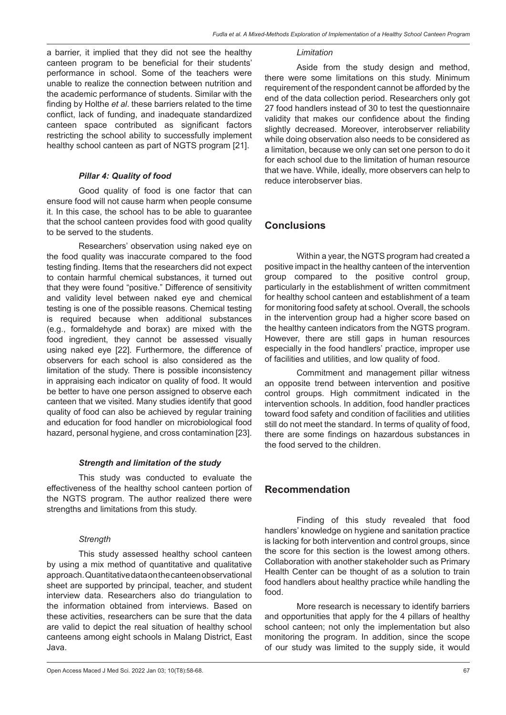a barrier, it implied that they did not see the healthy canteen program to be beneficial for their students' performance in school. Some of the teachers were unable to realize the connection between nutrition and the academic performance of students. Similar with the finding by Holthe *et al*. these barriers related to the time conflict, lack of funding, and inadequate standardized canteen space contributed as significant factors restricting the school ability to successfully implement healthy school canteen as part of NGTS program [21].

# *Pillar 4: Quality of food*

Good quality of food is one factor that can ensure food will not cause harm when people consume it. In this case, the school has to be able to guarantee that the school canteen provides food with good quality to be served to the students.

Researchers' observation using naked eye on the food quality was inaccurate compared to the food testing finding. Items that the researchers did not expect to contain harmful chemical substances, it turned out that they were found "positive." Difference of sensitivity and validity level between naked eye and chemical testing is one of the possible reasons. Chemical testing is required because when additional substances (e.g., formaldehyde and borax) are mixed with the food ingredient, they cannot be assessed visually using naked eye [22]. Furthermore, the difference of observers for each school is also considered as the limitation of the study. There is possible inconsistency in appraising each indicator on quality of food. It would be better to have one person assigned to observe each canteen that we visited. Many studies identify that good quality of food can also be achieved by regular training and education for food handler on microbiological food hazard, personal hygiene, and cross contamination [23].

# *Strength and limitation of the study*

This study was conducted to evaluate the effectiveness of the healthy school canteen portion of the NGTS program. The author realized there were strengths and limitations from this study.

# *Strength*

This study assessed healthy school canteen by using a mix method of quantitative and qualitative approach. Quantitative data on the canteen observational sheet are supported by principal, teacher, and student interview data. Researchers also do triangulation to the information obtained from interviews. Based on these activities, researchers can be sure that the data are valid to depict the real situation of healthy school canteens among eight schools in Malang District, East Java.

#### *Limitation*

Aside from the study design and method, there were some limitations on this study. Minimum requirement of the respondent cannot be afforded by the end of the data collection period. Researchers only got 27 food handlers instead of 30 to test the questionnaire validity that makes our confidence about the finding slightly decreased. Moreover, interobserver reliability while doing observation also needs to be considered as a limitation, because we only can set one person to do it for each school due to the limitation of human resource that we have. While, ideally, more observers can help to reduce interobserver bias.

# **Conclusions**

Within a year, the NGTS program had created a positive impact in the healthy canteen of the intervention group compared to the positive control group, particularly in the establishment of written commitment for healthy school canteen and establishment of a team for monitoring food safety at school. Overall, the schools in the intervention group had a higher score based on the healthy canteen indicators from the NGTS program. However, there are still gaps in human resources especially in the food handlers' practice, improper use of facilities and utilities, and low quality of food.

Commitment and management pillar witness an opposite trend between intervention and positive control groups. High commitment indicated in the intervention schools. In addition, food handler practices toward food safety and condition of facilities and utilities still do not meet the standard. In terms of quality of food, there are some findings on hazardous substances in the food served to the children.

# **Recommendation**

Finding of this study revealed that food handlers' knowledge on hygiene and sanitation practice is lacking for both intervention and control groups, since the score for this section is the lowest among others. Collaboration with another stakeholder such as Primary Health Center can be thought of as a solution to train food handlers about healthy practice while handling the food.

More research is necessary to identify barriers and opportunities that apply for the 4 pillars of healthy school canteen; not only the implementation but also monitoring the program. In addition, since the scope of our study was limited to the supply side, it would